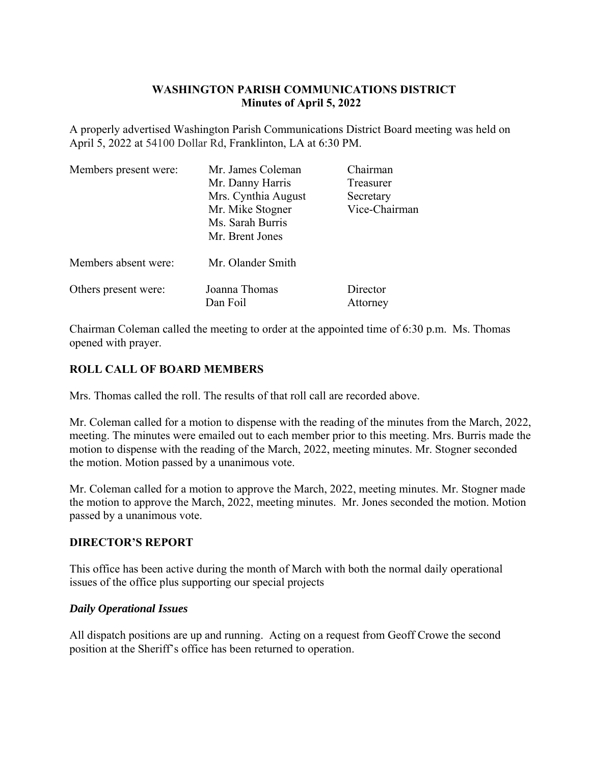# **WASHINGTON PARISH COMMUNICATIONS DISTRICT Minutes of April 5, 2022**

A properly advertised Washington Parish Communications District Board meeting was held on April 5, 2022 at 54100 Dollar Rd, Franklinton, LA at 6:30 PM.

| Members present were: | Mr. James Coleman   | Chairman      |  |
|-----------------------|---------------------|---------------|--|
|                       | Mr. Danny Harris    | Treasurer     |  |
|                       | Mrs. Cynthia August | Secretary     |  |
|                       | Mr. Mike Stogner    | Vice-Chairman |  |
|                       | Ms. Sarah Burris    |               |  |
|                       | Mr. Brent Jones     |               |  |
| Members absent were:  | Mr. Olander Smith   |               |  |
| Others present were:  | Joanna Thomas       | Director      |  |
|                       | Dan Foil            | Attorney      |  |

Chairman Coleman called the meeting to order at the appointed time of 6:30 p.m. Ms. Thomas opened with prayer.

## **ROLL CALL OF BOARD MEMBERS**

Mrs. Thomas called the roll. The results of that roll call are recorded above.

Mr. Coleman called for a motion to dispense with the reading of the minutes from the March, 2022, meeting. The minutes were emailed out to each member prior to this meeting. Mrs. Burris made the motion to dispense with the reading of the March, 2022, meeting minutes. Mr. Stogner seconded the motion. Motion passed by a unanimous vote.

Mr. Coleman called for a motion to approve the March, 2022, meeting minutes. Mr. Stogner made the motion to approve the March, 2022, meeting minutes. Mr. Jones seconded the motion. Motion passed by a unanimous vote.

## **DIRECTOR'S REPORT**

This office has been active during the month of March with both the normal daily operational issues of the office plus supporting our special projects

## *Daily Operational Issues*

All dispatch positions are up and running. Acting on a request from Geoff Crowe the second position at the Sheriff's office has been returned to operation.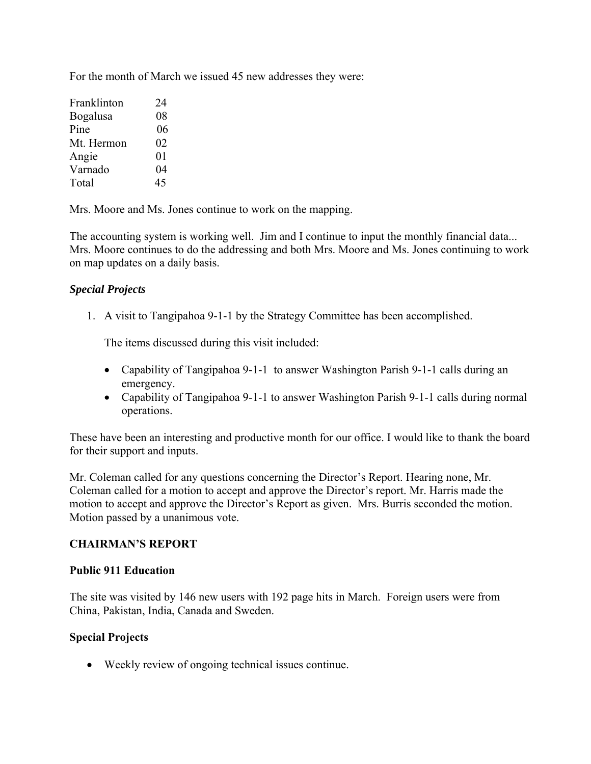For the month of March we issued 45 new addresses they were:

| Franklinton     | 24 |
|-----------------|----|
| <b>Bogalusa</b> | 08 |
| Pine            | 06 |
| Mt. Hermon      | 02 |
| Angie           | 01 |
| Varnado         | 04 |
| Total           | 45 |

Mrs. Moore and Ms. Jones continue to work on the mapping.

The accounting system is working well. Jim and I continue to input the monthly financial data... Mrs. Moore continues to do the addressing and both Mrs. Moore and Ms. Jones continuing to work on map updates on a daily basis.

## *Special Projects*

1. A visit to Tangipahoa 9-1-1 by the Strategy Committee has been accomplished.

The items discussed during this visit included:

- Capability of Tangipahoa 9-1-1 to answer Washington Parish 9-1-1 calls during an emergency.
- Capability of Tangipahoa 9-1-1 to answer Washington Parish 9-1-1 calls during normal operations.

These have been an interesting and productive month for our office. I would like to thank the board for their support and inputs.

Mr. Coleman called for any questions concerning the Director's Report. Hearing none, Mr. Coleman called for a motion to accept and approve the Director's report. Mr. Harris made the motion to accept and approve the Director's Report as given. Mrs. Burris seconded the motion. Motion passed by a unanimous vote.

## **CHAIRMAN'S REPORT**

## **Public 911 Education**

The site was visited by 146 new users with 192 page hits in March. Foreign users were from China, Pakistan, India, Canada and Sweden.

## **Special Projects**

Weekly review of ongoing technical issues continue.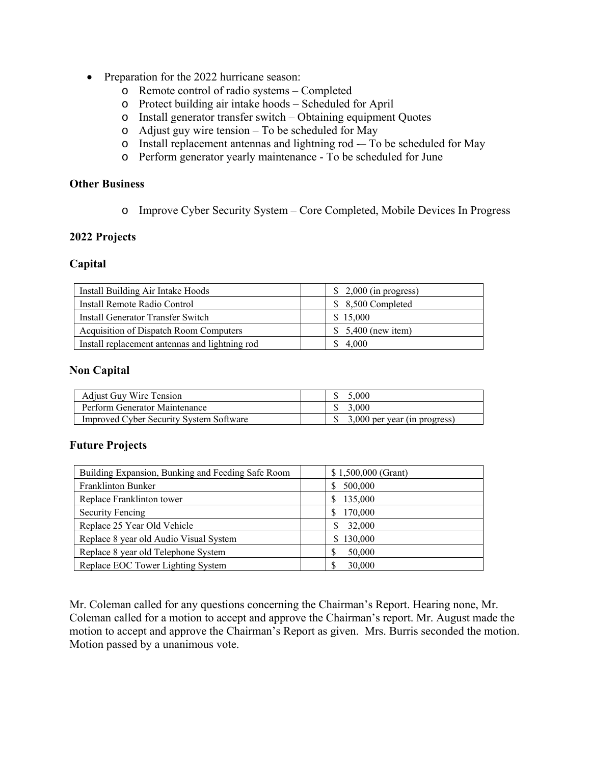- Preparation for the 2022 hurricane season:
	- o Remote control of radio systems Completed
	- o Protect building air intake hoods Scheduled for April
	- o Install generator transfer switch Obtaining equipment Quotes
	- o Adjust guy wire tension To be scheduled for May
	- $\circ$  Install replacement antennas and lightning rod  $-$  To be scheduled for May
	- o Perform generator yearly maintenance To be scheduled for June

#### **Other Business**

o Improve Cyber Security System – Core Completed, Mobile Devices In Progress

#### **2022 Projects**

#### **Capital**

| Install Building Air Intake Hoods              | $\frac{1}{2}$ ,000 (in progress) |
|------------------------------------------------|----------------------------------|
| Install Remote Radio Control                   | \$ 8,500 Completed               |
| Install Generator Transfer Switch              | \$15,000                         |
| Acquisition of Dispatch Room Computers         | $$5,400$ (new item)              |
| Install replacement antennas and lightning rod | \$ 4.000                         |

## **Non Capital**

| <b>Adjust Guy Wire Tension</b>                 | 5.000                           |
|------------------------------------------------|---------------------------------|
| Perform Generator Maintenance                  | 3,000                           |
| <b>Improved Cyber Security System Software</b> | $$3,000$ per year (in progress) |

## **Future Projects**

| Building Expansion, Bunking and Feeding Safe Room | $$1,500,000$ (Grant) |
|---------------------------------------------------|----------------------|
| <b>Franklinton Bunker</b>                         | 500,000<br>S         |
| Replace Franklinton tower                         | 135,000              |
| <b>Security Fencing</b>                           | 170,000<br>S         |
| Replace 25 Year Old Vehicle                       | 32,000               |
| Replace 8 year old Audio Visual System            | 130,000              |
| Replace 8 year old Telephone System               | 50,000<br>S          |
| Replace EOC Tower Lighting System                 | 30,000               |

Mr. Coleman called for any questions concerning the Chairman's Report. Hearing none, Mr. Coleman called for a motion to accept and approve the Chairman's report. Mr. August made the motion to accept and approve the Chairman's Report as given. Mrs. Burris seconded the motion. Motion passed by a unanimous vote.